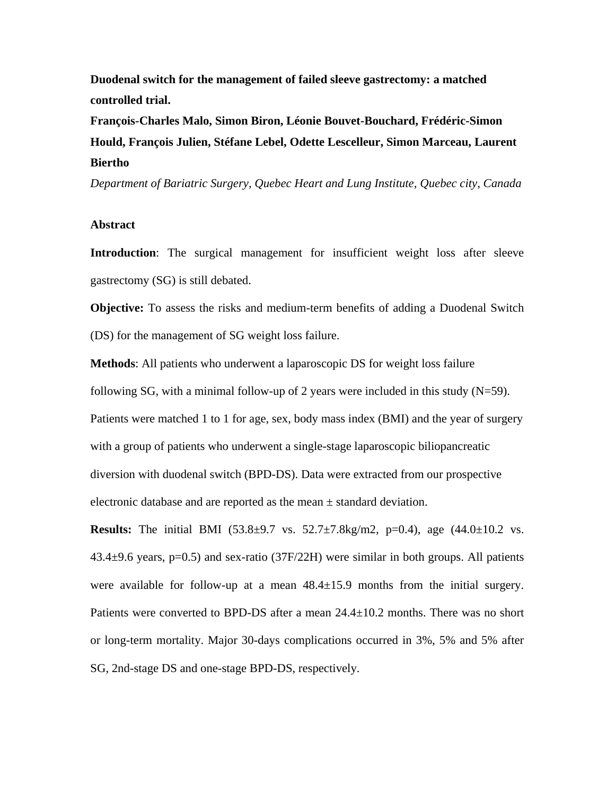**Duodenal switch for the management of failed sleeve gastrectomy: a matched controlled trial.**

**François-Charles Malo, Simon Biron, Léonie Bouvet-Bouchard, Frédéric-Simon Hould, François Julien, Stéfane Lebel, Odette Lescelleur, Simon Marceau, Laurent Biertho**

*Department of Bariatric Surgery, Quebec Heart and Lung Institute, Quebec city, Canada*

## **Abstract**

**Introduction**: The surgical management for insufficient weight loss after sleeve gastrectomy (SG) is still debated.

**Objective:** To assess the risks and medium-term benefits of adding a Duodenal Switch (DS) for the management of SG weight loss failure.

**Methods**: All patients who underwent a laparoscopic DS for weight loss failure following SG, with a minimal follow-up of 2 years were included in this study  $(N=59)$ . Patients were matched 1 to 1 for age, sex, body mass index (BMI) and the year of surgery with a group of patients who underwent a single-stage laparoscopic biliopancreatic diversion with duodenal switch (BPD-DS). Data were extracted from our prospective electronic database and are reported as the mean  $\pm$  standard deviation.

**Results:** The initial BMI (53.8±9.7 vs. 52.7±7.8kg/m2, p=0.4), age (44.0±10.2 vs.  $43.4\pm9.6$  years, p=0.5) and sex-ratio (37F/22H) were similar in both groups. All patients were available for follow-up at a mean  $48.4 \pm 15.9$  months from the initial surgery. Patients were converted to BPD-DS after a mean 24.4±10.2 months. There was no short or long-term mortality. Major 30-days complications occurred in 3%, 5% and 5% after SG, 2nd-stage DS and one-stage BPD-DS, respectively.